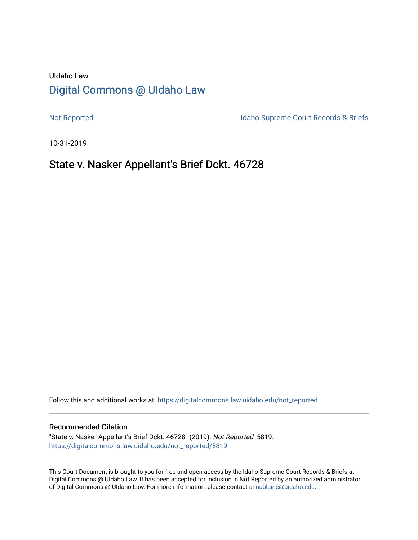# UIdaho Law [Digital Commons @ UIdaho Law](https://digitalcommons.law.uidaho.edu/)

[Not Reported](https://digitalcommons.law.uidaho.edu/not_reported) **Idaho Supreme Court Records & Briefs** 

10-31-2019

# State v. Nasker Appellant's Brief Dckt. 46728

Follow this and additional works at: [https://digitalcommons.law.uidaho.edu/not\\_reported](https://digitalcommons.law.uidaho.edu/not_reported?utm_source=digitalcommons.law.uidaho.edu%2Fnot_reported%2F5819&utm_medium=PDF&utm_campaign=PDFCoverPages) 

#### Recommended Citation

"State v. Nasker Appellant's Brief Dckt. 46728" (2019). Not Reported. 5819. [https://digitalcommons.law.uidaho.edu/not\\_reported/5819](https://digitalcommons.law.uidaho.edu/not_reported/5819?utm_source=digitalcommons.law.uidaho.edu%2Fnot_reported%2F5819&utm_medium=PDF&utm_campaign=PDFCoverPages)

This Court Document is brought to you for free and open access by the Idaho Supreme Court Records & Briefs at Digital Commons @ UIdaho Law. It has been accepted for inclusion in Not Reported by an authorized administrator of Digital Commons @ UIdaho Law. For more information, please contact [annablaine@uidaho.edu](mailto:annablaine@uidaho.edu).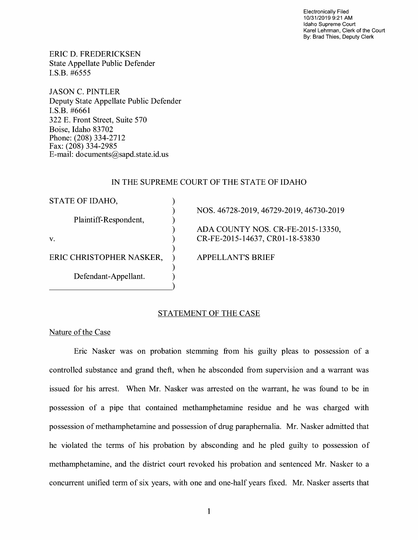Electronically Filed 10/31/2019 9:21 AM Idaho Supreme Court Karel Lehrman, Clerk of the Court By: Brad Thies, Deputy Clerk

ERIC D. FREDERICKSEN State Appellate Public Defender I.S.B. #6555

JASON C. PINTLER Deputy State Appellate Public Defender I.S.B. #6661 322 E. Front Street, Suite 570 Boise, Idaho 83702 Phone: (208) 334-2712 Fax: (208) 334-2985 E-mail: documents@sapd.state.id. us

## IN THE SUPREME COURT OF THE STATE OF IDAHO

| STATE OF IDAHO,          |                                         |
|--------------------------|-----------------------------------------|
|                          | NOS. 46728-2019, 46729-2019, 46730-2019 |
| Plaintiff-Respondent,    |                                         |
|                          | ADA COUNTY NOS. CR-FE-2015-13350,       |
| V.                       | CR-FE-2015-14637, CR01-18-53830         |
|                          |                                         |
| ERIC CHRISTOPHER NASKER, | <b>APPELLANT'S BRIEF</b>                |
|                          |                                         |
| Defendant-Appellant.     |                                         |

## STATEMENT OF THE CASE

Nature of the Case

Eric Nasker was on probation stemming from his guilty pleas to possession of a controlled substance and grand theft, when he absconded from supervision and a warrant was issued for his arrest. When Mr. Nasker was arrested on the warrant, he was found to be in possession of a pipe that contained methamphetamine residue and he was charged with possession of methamphetamine and possession of drug paraphernalia. Mr. Nasker admitted that he violated the terms of his probation by absconding and he pied guilty to possession of methamphetamine, and the district court revoked his probation and sentenced Mr. Nasker to a concurrent unified term of six years, with one and one-half years fixed. Mr. Nasker asserts that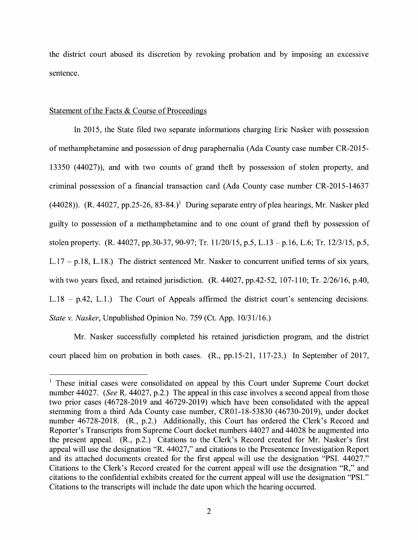the district court abused its discretion by revoking probation and by imposing an excessive sentence.

### Statement of the Facts & Course of Proceedings

In 2015, the State filed two separate informations charging Eric Nasker with possession of methamphetamine and possession of drug paraphernalia (Ada County case number CR-2015- 13350 (44027)), and with two counts of grand theft by possession of stolen property, and criminal possession of a financial transaction card (Ada County case number CR-2015-14637 (44028)). (R. 44027, pp.25-26, 83-84.)<sup>1</sup> During separate entry of plea hearings, Mr. Nasker pled guilty to possession of a methamphetamine and to one count of grand theft by possession of stolen property. (R. 44027, pp.30-37, 90-97; Tr. 11/20/15, p.5, L.13 - p.16, L.6; Tr. 12/3/15, p.5, L.17 - p.18, L.18.) The district sentenced Mr. Nasker to concurrent unified terms of six years, with two years fixed, and retained jurisdiction. (R. 44027, pp.42-52, 107-110; Tr. 2/26/16, p.40, L.18 - p.42, L.1.) The Court of Appeals affirmed the district court's sentencing decisions. *State v. Nasker,* Unpublished Opinion No. 759 (Ct. App. 10/31/16.)

Mr. Nasker successfully completed his retained jurisdiction program, and the district court placed him on probation in both cases. (R., pp.15-21, 117-23.) In September of 2017,

<sup>&</sup>lt;sup>1</sup> These initial cases were consolidated on appeal by this Court under Supreme Court docket number 44027. *(See* R. 44027, p.2.) The appeal in this case involves a second appeal from those two prior cases (46728-2019 and 46729-2019) which have been consolidated with the appeal stemming from a third Ada County case number, CR0l-18-53830 (46730-2019), under docket number 46728-2018. (R., p.2.) Additionally, this Court has ordered the Clerk's Record and Reporter's Transcripts from Supreme Court docket numbers 44027 and 44028 be augmented into the present appeal. (R., p.2.) Citations to the Clerk's Record created for Mr. Nasker's first appeal will use the designation "R. 44027," and citations to the Presentence Investigation Report and its attached documents created for the first appeal will use the designation **"PSI.** 44027." Citations to the Clerk's Record created for the current appeal will use the designation **"R,"** and citations to the confidential exhibits created for the current appeal will use the designation **"PSI."**  Citations to the transcripts will include the date upon which the hearing occurred.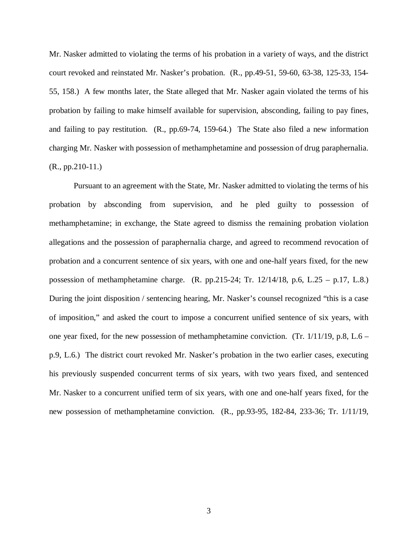Mr. Nasker admitted to violating the terms of his probation in a variety of ways, and the district court revoked and reinstated Mr. Nasker's probation. (R., pp.49-51, 59-60, 63-38, 125-33, 154- 55, 158.) A few months later, the State alleged that Mr. Nasker again violated the terms of his probation by failing to make himself available for supervision, absconding, failing to pay fines, and failing to pay restitution. (R., pp.69-74, 159-64.) The State also filed a new information charging Mr. Nasker with possession of methamphetamine and possession of drug paraphernalia.  $(R., pp.210-11.)$ 

Pursuant to an agreement with the State, Mr. Nasker admitted to violating the terms of his probation by absconding from supervision, and he pled guilty to possession of methamphetamine; in exchange, the State agreed to dismiss the remaining probation violation allegations and the possession of paraphernalia charge, and agreed to recommend revocation of probation and a concurrent sentence of six years, with one and one-half years fixed, for the new possession of methamphetamine charge. (R. pp.215-24; Tr. 12/14/18, p.6, L.25 – p.17, L.8.) During the joint disposition / sentencing hearing, Mr. Nasker's counsel recognized "this is a case of imposition," and asked the court to impose a concurrent unified sentence of six years, with one year fixed, for the new possession of methamphetamine conviction. (Tr.  $1/11/19$ , p.8, L.6 – p.9, L.6.) The district court revoked Mr. Nasker's probation in the two earlier cases, executing his previously suspended concurrent terms of six years, with two years fixed, and sentenced Mr. Nasker to a concurrent unified term of six years, with one and one-half years fixed, for the new possession of methamphetamine conviction. (R., pp.93-95, 182-84, 233-36; Tr. 1/11/19,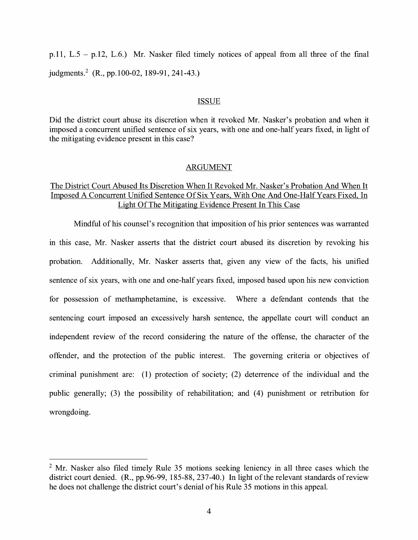p.11, L.5 - p.12, L.6.) Mr. Nasker filed timely notices of appeal from all three of the final judgments.<sup>2</sup> (R., pp.100-02, 189-91, 241-43.)

#### ISSUE

Did the district court abuse its discretion when it revoked Mr. Nasker's probation and when it imposed a concurrent unified sentence of six years, with one and one-half years fixed, in light of the mitigating evidence present in this case?

#### ARGUMENT

# The District Court Abused Its Discretion When It Revoked Mr. Nasker's Probation And When It Imposed A Concurrent Unified Sentence Of Six Years, With One And One-Half Years Fixed, In Light Of The Mitigating Evidence Present In This Case

Mindful of his counsel's recognition that imposition of his prior sentences was warranted in this case, Mr. Nasker asserts that the district court abused its discretion by revoking his probation. Additionally, Mr. Nasker asserts that, given any view of the facts, his unified sentence of six years, with one and one-half years fixed, imposed based upon his new conviction for possession of methamphetamine, is excessive. Where a defendant contends that the sentencing court imposed an excessively harsh sentence, the appellate court will conduct an independent review of the record considering the nature of the offense, the character of the offender, and the protection of the public interest. The governing criteria or objectives of criminal punishment are: (1) protection of society; (2) deterrence of the individual and the public generally; (3) the possibility of rehabilitation; and (4) punishment or retribution for wrongdoing.

<sup>&</sup>lt;sup>2</sup> Mr. Nasker also filed timely Rule 35 motions seeking leniency in all three cases which the district court denied. (R., pp.96-99, 185-88, 237-40.) In light of the relevant standards of review he does not challenge the district court's denial of his Rule 35 motions in this appeal.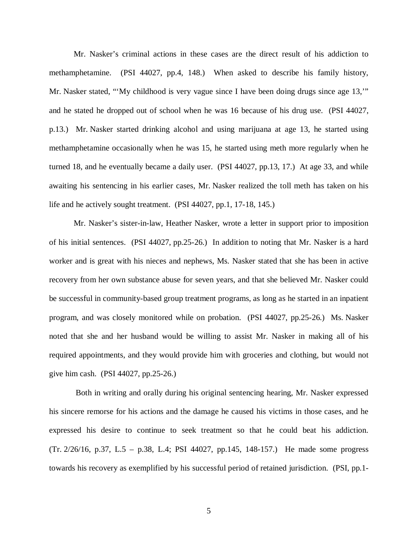Mr. Nasker's criminal actions in these cases are the direct result of his addiction to methamphetamine. (PSI 44027, pp.4, 148.) When asked to describe his family history, Mr. Nasker stated, "'My childhood is very vague since I have been doing drugs since age 13," and he stated he dropped out of school when he was 16 because of his drug use. (PSI 44027, p.13.) Mr. Nasker started drinking alcohol and using marijuana at age 13, he started using methamphetamine occasionally when he was 15, he started using meth more regularly when he turned 18, and he eventually became a daily user. (PSI 44027, pp.13, 17.) At age 33, and while awaiting his sentencing in his earlier cases, Mr. Nasker realized the toll meth has taken on his life and he actively sought treatment. (PSI 44027, pp.1, 17-18, 145.)

Mr. Nasker's sister-in-law, Heather Nasker, wrote a letter in support prior to imposition of his initial sentences. (PSI 44027, pp.25-26.) In addition to noting that Mr. Nasker is a hard worker and is great with his nieces and nephews, Ms. Nasker stated that she has been in active recovery from her own substance abuse for seven years, and that she believed Mr. Nasker could be successful in community-based group treatment programs, as long as he started in an inpatient program, and was closely monitored while on probation. (PSI 44027, pp.25-26.) Ms. Nasker noted that she and her husband would be willing to assist Mr. Nasker in making all of his required appointments, and they would provide him with groceries and clothing, but would not give him cash. (PSI 44027, pp.25-26.)

 Both in writing and orally during his original sentencing hearing, Mr. Nasker expressed his sincere remorse for his actions and the damage he caused his victims in those cases, and he expressed his desire to continue to seek treatment so that he could beat his addiction. (Tr. 2/26/16, p.37, L.5 – p.38, L.4; PSI 44027, pp.145, 148-157.) He made some progress towards his recovery as exemplified by his successful period of retained jurisdiction. (PSI, pp.1